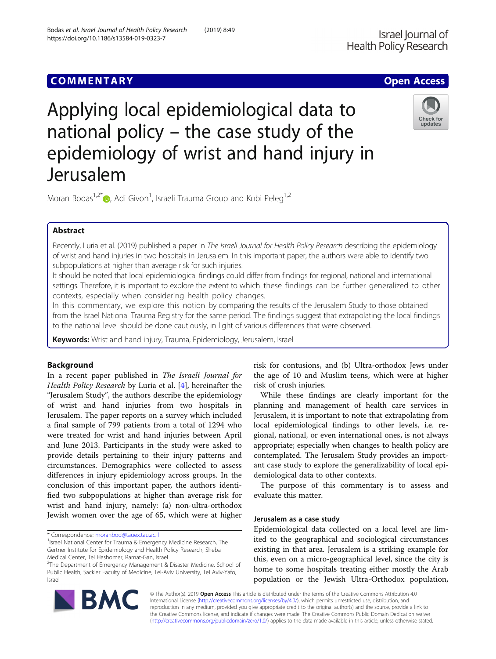# Applying local epidemiological data to national policy – the case study of the epidemiology of wrist and hand injury in Jerusalem



Moran Bodas<sup>1,2[\\*](http://orcid.org/0000-0002-6182-6362)</sup>®, Adi Givon<sup>1</sup>, Israeli Trauma Group and Kobi Peleg<sup>1,2</sup>

# Abstract

Recently, Luria et al. (2019) published a paper in The Israeli Journal for Health Policy Research describing the epidemiology of wrist and hand injuries in two hospitals in Jerusalem. In this important paper, the authors were able to identify two subpopulations at higher than average risk for such injuries.

It should be noted that local epidemiological findings could differ from findings for regional, national and international settings. Therefore, it is important to explore the extent to which these findings can be further generalized to other contexts, especially when considering health policy changes.

In this commentary, we explore this notion by comparing the results of the Jerusalem Study to those obtained from the Israel National Trauma Registry for the same period. The findings suggest that extrapolating the local findings to the national level should be done cautiously, in light of various differences that were observed.

Keywords: Wrist and hand injury, Trauma, Epidemiology, Jerusalem, Israel

# Background

In a recent paper published in The Israeli Journal for Health Policy Research by Luria et al. [[4\]](#page-3-0), hereinafter the "Jerusalem Study", the authors describe the epidemiology of wrist and hand injuries from two hospitals in Jerusalem. The paper reports on a survey which included a final sample of 799 patients from a total of 1294 who were treated for wrist and hand injuries between April and June 2013. Participants in the study were asked to provide details pertaining to their injury patterns and circumstances. Demographics were collected to assess differences in injury epidemiology across groups. In the conclusion of this important paper, the authors identified two subpopulations at higher than average risk for wrist and hand injury, namely: (a) non-ultra-orthodox Jewish women over the age of 65, which were at higher

\* Correspondence: [moranbod@tauex.tau.ac.il](mailto:moranbod@tauex.tau.ac.il) <sup>1</sup>

<sup>&</sup>lt;sup>2</sup>The Department of Emergency Management & Disaster Medicine, School of Public Health, Sackler Faculty of Medicine, Tel-Aviv University, Tel Aviv-Yafo, Israel



risk for contusions, and (b) Ultra-orthodox Jews under the age of 10 and Muslim teens, which were at higher risk of crush injuries.

While these findings are clearly important for the planning and management of health care services in Jerusalem, it is important to note that extrapolating from local epidemiological findings to other levels, i.e. regional, national, or even international ones, is not always appropriate; especially when changes to health policy are contemplated. The Jerusalem Study provides an important case study to explore the generalizability of local epidemiological data to other contexts.

The purpose of this commentary is to assess and evaluate this matter.

## Jerusalem as a case study

Epidemiological data collected on a local level are limited to the geographical and sociological circumstances existing in that area. Jerusalem is a striking example for this, even on a micro-geographical level, since the city is home to some hospitals treating either mostly the Arab population or the Jewish Ultra-Orthodox population,

© The Author(s). 2019 Open Access This article is distributed under the terms of the Creative Commons Attribution 4.0 International License [\(http://creativecommons.org/licenses/by/4.0/](http://creativecommons.org/licenses/by/4.0/)), which permits unrestricted use, distribution, and reproduction in any medium, provided you give appropriate credit to the original author(s) and the source, provide a link to the Creative Commons license, and indicate if changes were made. The Creative Commons Public Domain Dedication waiver [\(http://creativecommons.org/publicdomain/zero/1.0/](http://creativecommons.org/publicdomain/zero/1.0/)) applies to the data made available in this article, unless otherwise stated.

<sup>&</sup>lt;sup>1</sup> Israel National Center for Trauma & Emergency Medicine Research, The Gertner Institute for Epidemiology and Health Policy Research, Sheba Medical Center, Tel Hashomer, Ramat-Gan, Israel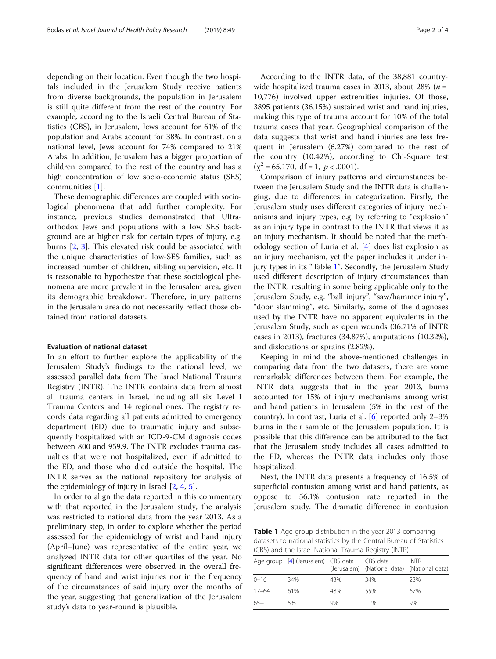<span id="page-1-0"></span>depending on their location. Even though the two hospitals included in the Jerusalem Study receive patients from diverse backgrounds, the population in Jerusalem is still quite different from the rest of the country. For example, according to the Israeli Central Bureau of Statistics (CBS), in Jerusalem, Jews account for 61% of the population and Arabs account for 38%. In contrast, on a national level, Jews account for 74% compared to 21% Arabs. In addition, Jerusalem has a bigger proportion of children compared to the rest of the country and has a high concentration of low socio-economic status (SES) communities [[1\]](#page-2-0).

These demographic differences are coupled with sociological phenomena that add further complexity. For instance, previous studies demonstrated that Ultraorthodox Jews and populations with a low SES background are at higher risk for certain types of injury, e.g. burns [[2,](#page-2-0) [3](#page-3-0)]. This elevated risk could be associated with the unique characteristics of low-SES families, such as increased number of children, sibling supervision, etc. It is reasonable to hypothesize that these sociological phenomena are more prevalent in the Jerusalem area, given its demographic breakdown. Therefore, injury patterns in the Jerusalem area do not necessarily reflect those obtained from national datasets.

#### Evaluation of national dataset

In an effort to further explore the applicability of the Jerusalem Study's findings to the national level, we assessed parallel data from The Israel National Trauma Registry (INTR). The INTR contains data from almost all trauma centers in Israel, including all six Level I Trauma Centers and 14 regional ones. The registry records data regarding all patients admitted to emergency department (ED) due to traumatic injury and subsequently hospitalized with an ICD-9-CM diagnosis codes between 800 and 959.9. The INTR excludes trauma casualties that were not hospitalized, even if admitted to the ED, and those who died outside the hospital. The INTR serves as the national repository for analysis of the epidemiology of injury in Israel [[2,](#page-2-0) [4,](#page-3-0) [5\]](#page-3-0).

In order to align the data reported in this commentary with that reported in the Jerusalem study, the analysis was restricted to national data from the year 2013. As a preliminary step, in order to explore whether the period assessed for the epidemiology of wrist and hand injury (April–June) was representative of the entire year, we analyzed INTR data for other quartiles of the year. No significant differences were observed in the overall frequency of hand and wrist injuries nor in the frequency of the circumstances of said injury over the months of the year, suggesting that generalization of the Jerusalem study's data to year-round is plausible.

According to the INTR data, of the 38,881 countrywide hospitalized trauma cases in 2013, about 28% ( $n =$ 10,776) involved upper extremities injuries. Of those, 3895 patients (36.15%) sustained wrist and hand injuries, making this type of trauma account for 10% of the total trauma cases that year. Geographical comparison of the data suggests that wrist and hand injuries are less frequent in Jerusalem (6.27%) compared to the rest of the country (10.42%), according to Chi-Square test  $(\chi^2 = 65.170, df = 1, p < .0001).$ 

Comparison of injury patterns and circumstances between the Jerusalem Study and the INTR data is challenging, due to differences in categorization. Firstly, the Jerusalem study uses different categories of injury mechanisms and injury types, e.g. by referring to "explosion" as an injury type in contrast to the INTR that views it as an injury mechanism. It should be noted that the methodology section of Luria et al. [[4\]](#page-3-0) does list explosion as an injury mechanism, yet the paper includes it under injury types in its "Table 1". Secondly, the Jerusalem Study used different description of injury circumstances than the INTR, resulting in some being applicable only to the Jerusalem Study, e.g. "ball injury", "saw/hammer injury", "door slamming", etc. Similarly, some of the diagnoses used by the INTR have no apparent equivalents in the Jerusalem Study, such as open wounds (36.71% of INTR cases in 2013), fractures (34.87%), amputations (10.32%), and dislocations or sprains (2.82%).

Keeping in mind the above-mentioned challenges in comparing data from the two datasets, there are some remarkable differences between them. For example, the INTR data suggests that in the year 2013, burns accounted for 15% of injury mechanisms among wrist and hand patients in Jerusalem (5% in the rest of the country). In contrast, Luria et al. [\[6\]](#page-3-0) reported only 2–3% burns in their sample of the Jerusalem population. It is possible that this difference can be attributed to the fact that the Jerusalem study includes all cases admitted to the ED, whereas the INTR data includes only those hospitalized.

Next, the INTR data presents a frequency of 16.5% of superficial contusion among wrist and hand patients, as oppose to 56.1% contusion rate reported in the Jerusalem study. The dramatic difference in contusion

Table 1 Age group distribution in the year 2013 comparing datasets to national statistics by the Central Bureau of Statistics (CBS) and the Israel National Trauma Registry (INTR)

|           | Age group [4] (Jerusalem) CBS data |     | CBS data<br>(Jerusalem) (National data) (National data) | <b>INTR</b> |
|-----------|------------------------------------|-----|---------------------------------------------------------|-------------|
| $0 - 16$  | 34%                                | 43% | 34%                                                     | 23%         |
| $17 - 64$ | 61%                                | 48% | 55%                                                     | 67%         |
| $65+$     | 5%                                 | 9%  | 11%                                                     | 9%          |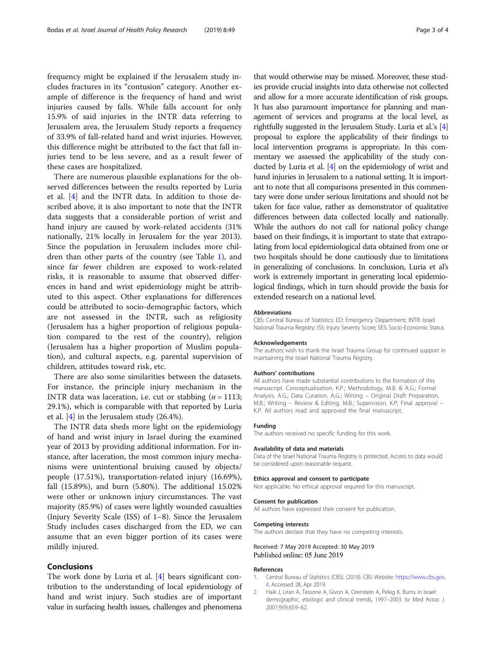<span id="page-2-0"></span>frequency might be explained if the Jerusalem study includes fractures in its "contusion" category. Another example of difference is the frequency of hand and wrist injuries caused by falls. While falls account for only 15.9% of said injuries in the INTR data referring to Jerusalem area, the Jerusalem Study reports a frequency of 33.9% of fall-related hand and wrist injuries. However, this difference might be attributed to the fact that fall injuries tend to be less severe, and as a result fewer of these cases are hospitalized.

There are numerous plausible explanations for the observed differences between the results reported by Luria et al. [[4](#page-3-0)] and the INTR data. In addition to those described above, it is also important to note that the INTR data suggests that a considerable portion of wrist and hand injury are caused by work-related accidents (31% nationally, 21% locally in Jerusalem for the year 2013). Since the population in Jerusalem includes more children than other parts of the country (see Table [1](#page-1-0)), and since far fewer children are exposed to work-related risks, it is reasonable to assume that observed differences in hand and wrist epidemiology might be attributed to this aspect. Other explanations for differences could be attributed to socio-demographic factors, which are not assessed in the INTR, such as religiosity (Jerusalem has a higher proportion of religious population compared to the rest of the country), religion (Jerusalem has a higher proportion of Muslim population), and cultural aspects, e.g. parental supervision of children, attitudes toward risk, etc.

There are also some similarities between the datasets. For instance, the principle injury mechanism in the INTR data was laceration, i.e. cut or stabbing  $(n = 1113;$ 29.1%), which is comparable with that reported by Luria et al. [\[4](#page-3-0)] in the Jerusalem study (26.4%).

The INTR data sheds more light on the epidemiology of hand and wrist injury in Israel during the examined year of 2013 by providing additional information. For instance, after laceration, the most common injury mechanisms were unintentional bruising caused by objects/ people (17.51%), transportation-related injury (16.69%), fall (15.89%), and burn (5.80%). The additional 15.02% were other or unknown injury circumstances. The vast majority (85.9%) of cases were lightly wounded casualties (Injury Severity Scale (ISS) of 1–8). Since the Jerusalem Study includes cases discharged from the ED, we can assume that an even bigger portion of its cases were mildly injured.

### Conclusions

The work done by Luria et al. [[4\]](#page-3-0) bears significant contribution to the understanding of local epidemiology of hand and wrist injury. Such studies are of important value in surfacing health issues, challenges and phenomena

that would otherwise may be missed. Moreover, these studies provide crucial insights into data otherwise not collected and allow for a more accurate identification of risk groups. It has also paramount importance for planning and management of services and programs at the local level, as rightfully suggested in the Jerusalem Study. Luria et al.'s [[4](#page-3-0)] proposal to explore the applicability of their findings to local intervention programs is appropriate. In this commentary we assessed the applicability of the study conducted by Luria et al. [[4](#page-3-0)] on the epidemiology of wrist and hand injuries in Jerusalem to a national setting. It is important to note that all comparisons presented in this commentary were done under serious limitations and should not be taken for face value, rather as demonstrator of qualitative differences between data collected locally and nationally. While the authors do not call for national policy change based on their findings, it is important to state that extrapolating from local epidemiological data obtained from one or two hospitals should be done cautiously due to limitations in generalizing of conclusions. In conclusion, Luria et al's work is extremely important in generating local epidemiological findings, which in turn should provide the basis for extended research on a national level.

#### Abbreviations

CBS: Central Bureau of Statistics; ED: Emergency Department; INTR: Israel National Trauma Registry; ISS: Injury Severity Score; SES: Socio-Economic Status

#### Acknowledgements

The authors wish to thank the Israel Trauma Group for continued support in maintaining the Israel National Trauma Registry.

#### Authors' contributions

All authors have made substantial contributions to the formation of this manuscript. Conceptualization, K.P.; Methodology, M.B. & A.G.; Formal Analysis, A.G.; Data Curation, A.G.; Writing – Original Draft Preparation, M.B.; Writing – Review & Editing, M.B.; Supervision, K.P; Final approval – K.P. All authors read and approved the final manuscript.

#### Funding

The authors received no specific funding for this work.

#### Availability of data and materials

Data of the Israel National Trauma Registry is protected. Access to data would be considered upon reasonable request.

#### Ethics approval and consent to participate

Not applicable. No ethical approval required for this manuscript.

#### Consent for publication

All authors have expressed their consent for publication.

#### Competing interests

The authors declare that they have no competing interests.

#### Received: 7 May 2019 Accepted: 30 May 2019 Published online: 05 June 2019

#### References

- 1. Central Bureau of Statistics (CBS). (2019). CBS Website: [https://www.cbs.gov.](https://www.cbs.gov.il) [il.](https://www.cbs.gov.il) Accessed 28, Apr 2019.
- 2. Haik J, Liran A, Tessone A, Givon A, Orenstein A, Peleg K. Burns in Israel: demographic, etiologic and clinical trends, 1997–2003. Isr Med Assoc J. 2007;9(9):659–62.